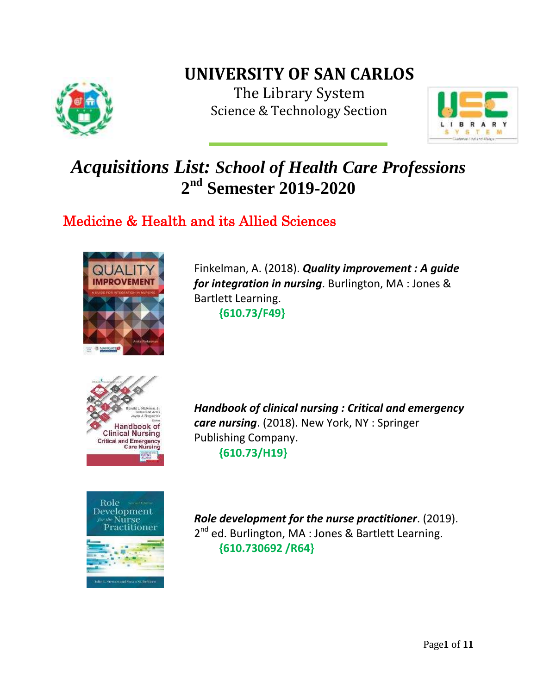

## **UNIVERSITY OF SAN CARLOS**

The Library System Science & Technology Section



# *Acquisitions List: School of Health Care Professions* **2 nd Semester 2019-2020**

## Medicine & Health and its Allied Sciences



Finkelman, A. (2018). *Quality improvement : A guide for integration in nursing*. Burlington, MA : Jones & Bartlett Learning. **{610.73/F49}**





*Handbook of clinical nursing : Critical and emergency care nursing*. (2018). New York, NY : Springer Publishing Company. **{610.73/H19}**

*Role development for the nurse practitioner*. (2019). 2<sup>nd</sup> ed. Burlington, MA : Jones & Bartlett Learning. **{610.730692 /R64}**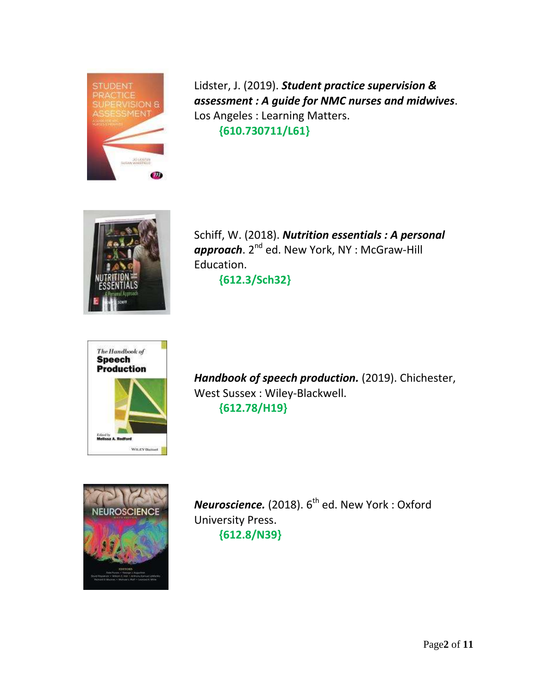

Lidster, J. (2019). *Student practice supervision & assessment : A guide for NMC nurses and midwives*. Los Angeles : Learning Matters.  **{610.730711/L61}**



Schiff, W. (2018). *Nutrition essentials : A personal approach.* 2<sup>nd</sup> ed. New York, NY : McGraw-Hill Education.  **{612.3/Sch32}**



*Handbook of speech production.* (2019). Chichester, West Sussex : Wiley-Blackwell. **{612.78/H19}**



*Neuroscience.* (2018).  $6^{\text{th}}$  ed. New York : Oxford University Press. **{612.8/N39}**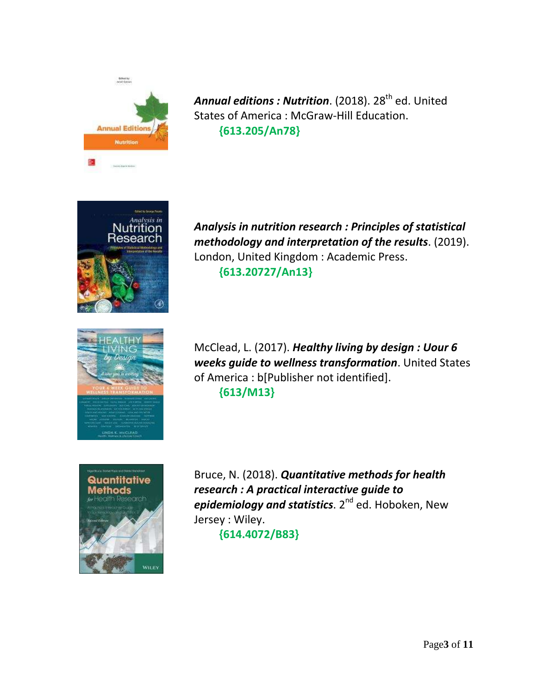

Annual editions : Nutrition. (2018). 28<sup>th</sup> ed. United States of America : McGraw-Hill Education. **{613.205/An78}**



*Analysis in nutrition research : Principles of statistical methodology and interpretation of the results*. (2019). London, United Kingdom : Academic Press. **{613.20727/An13}**



McClead, L. (2017). *Healthy living by design : Uour 6 weeks guide to wellness transformation*. United States of America : b[Publisher not identified]. **{613/M13}**



Bruce, N. (2018). *Quantitative methods for health research : A practical interactive guide to epidemiology and statistics*. 2<sup>nd</sup> ed. Hoboken, New Jersey : Wiley.  **{614.4072/B83}**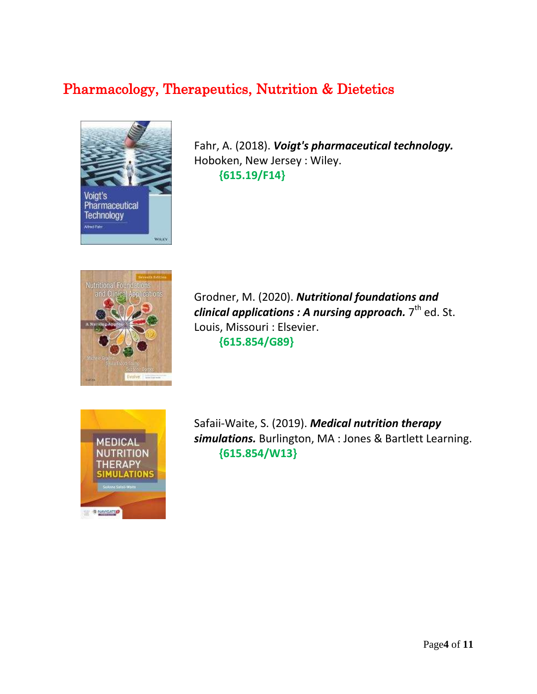### Pharmacology, Therapeutics, Nutrition & Dietetics



Fahr, A. (2018). *Voigt's pharmaceutical technology.* Hoboken, New Jersey : Wiley.  **{615.19/F14}**



Grodner, M. (2020). *Nutritional foundations and clinical applications : A nursing approach.* 7<sup>th</sup> ed. St. Louis, Missouri : Elsevier.  **{615.854/G89}**



Safaii-Waite, S. (2019). *Medical nutrition therapy simulations.* Burlington, MA : Jones & Bartlett Learning. **{615.854/W13}**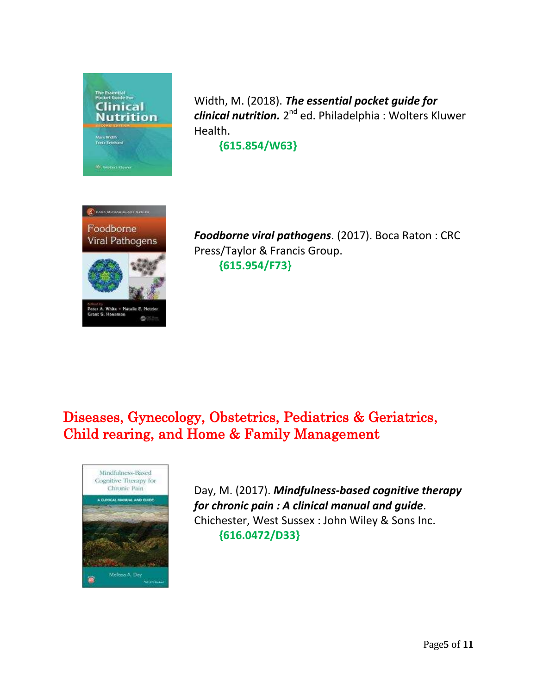

Width, M. (2018). *The essential pocket guide for*  clinical nutrition. 2<sup>nd</sup> ed. Philadelphia : Wolters Kluwer Health.

**{615.854/W63}**



*Foodborne viral pathogens*. (2017). Boca Raton : CRC Press/Taylor & Francis Group.  **{615.954/F73}**

### Diseases, Gynecology, Obstetrics, Pediatrics & Geriatrics, Child rearing, and Home & Family Management



Day, M. (2017). *Mindfulness-based cognitive therapy for chronic pain : A clinical manual and guide*. Chichester, West Sussex : John Wiley & Sons Inc.  **{616.0472/D33}**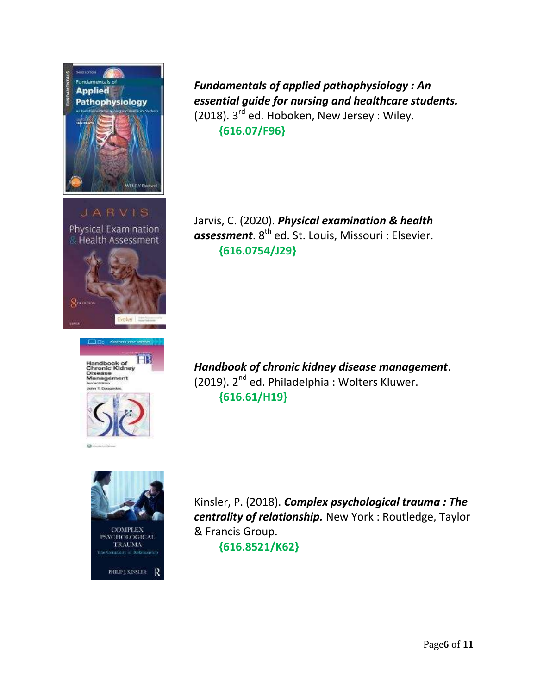

**JARVIS** Physical Examination **& Health Assessment** 







*Fundamentals of applied pathophysiology : An essential guide for nursing and healthcare students.* (2018). 3<sup>rd</sup> ed. Hoboken, New Jersey : Wiley.  **{616.07/F96}**

Jarvis, C. (2020). *Physical examination & health*   $\emph{assessment}$ .  $8^\text{th}$  ed. St. Louis, Missouri : Elsevier.  **{616.0754/J29}**

*Handbook of chronic kidney disease management*. (2019). 2<sup>nd</sup> ed. Philadelphia: Wolters Kluwer.  **{616.61/H19}**

Kinsler, P. (2018). *Complex psychological trauma : The centrality of relationship.* New York : Routledge, Taylor & Francis Group.

 **{616.8521/K62}**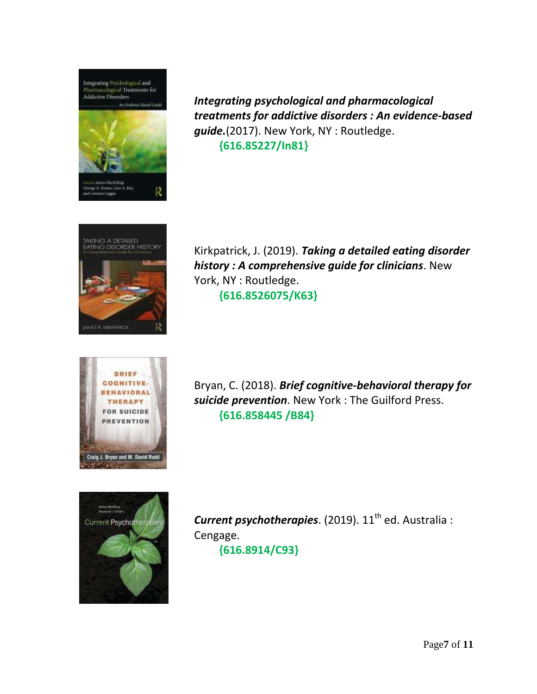

*Integrating psychological and pharmacological treatments for addictive disorders : An evidence-based guide.*(2017). New York, NY : Routledge.  **{616.85227/In81}**



Kirkpatrick, J. (2019). *Taking a detailed eating disorder history : A comprehensive guide for clinicians*. New York, NY : Routledge.  **{616.8526075/K63}**



Bryan, C. (2018). *Brief cognitive-behavioral therapy for suicide prevention*. New York : The Guilford Press.  **{616.858445 /B84}**



**Current psychotherapies.** (2019). 11<sup>th</sup> ed. Australia : Cengage.  **{616.8914/C93}**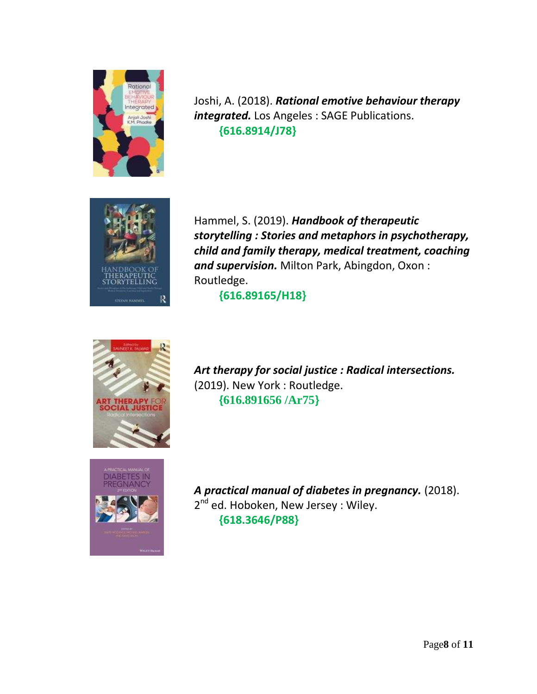

Joshi, A. (2018). *Rational emotive behaviour therapy integrated.* Los Angeles : SAGE Publications.  **{616.8914/J78}**



Hammel, S. (2019). *Handbook of therapeutic storytelling : Stories and metaphors in psychotherapy, child and family therapy, medical treatment, coaching and supervision.* Milton Park, Abingdon, Oxon : Routledge.

 **{616.89165/H18}**



*Art therapy for social justice : Radical intersections.* (2019). New York : Routledge.  **{616.891656 /Ar75}**



*A practical manual of diabetes in pregnancy.* (2018). 2<sup>nd</sup> ed. Hoboken, New Jersey : Wiley.  **{618.3646/P88}**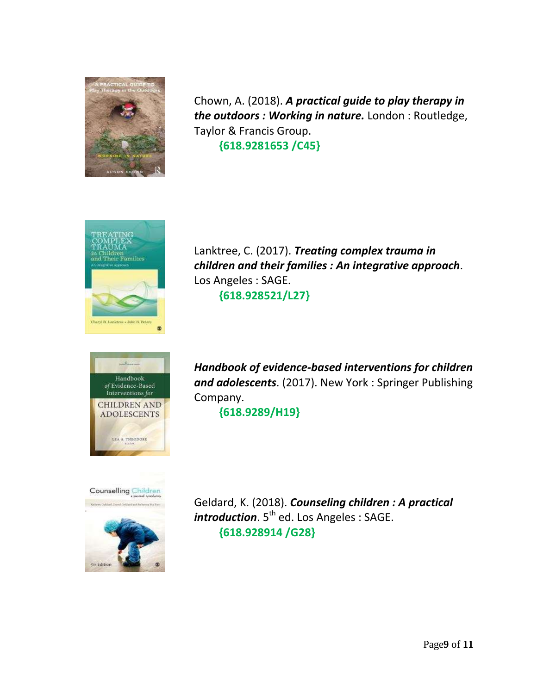

Chown, A. (2018). *A practical guide to play therapy in the outdoors : Working in nature.* London : Routledge, Taylor & Francis Group.  **{618.9281653 /C45}**



Lanktree, C. (2017). *Treating complex trauma in children and their families : An integrative approach*. Los Angeles : SAGE.  **{618.928521/L27}**



*Handbook of evidence-based interventions for children and adolescents*. (2017). New York : Springer Publishing Company.

**{618.9289/H19}**



Geldard, K. (2018). *Counseling children : A practical introduction*. 5<sup>th</sup> ed. Los Angeles : SAGE.  **{618.928914 /G28}**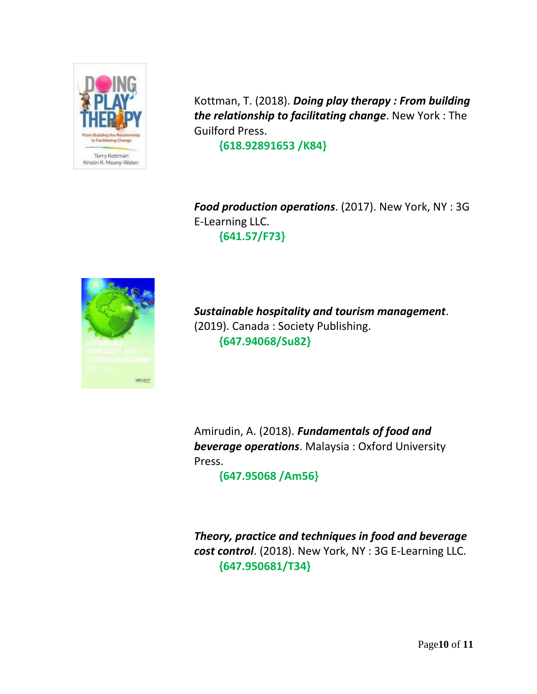

Kottman, T. (2018). *Doing play therapy : From building the relationship to facilitating change*. New York : The Guilford Press.

 **{618.92891653 /K84}**

*Food production operations*. (2017). New York, NY : 3G E-Learning LLC.  **{641.57/F73}**



*Sustainable hospitality and tourism management*. (2019). Canada : Society Publishing.  **{647.94068/Su82}**

Amirudin, A. (2018). *Fundamentals of food and beverage operations*. Malaysia : Oxford University Press.

 **{647.95068 /Am56}**

*Theory, practice and techniques in food and beverage cost control*. (2018). New York, NY : 3G E-Learning LLC.  **{647.950681/T34}**